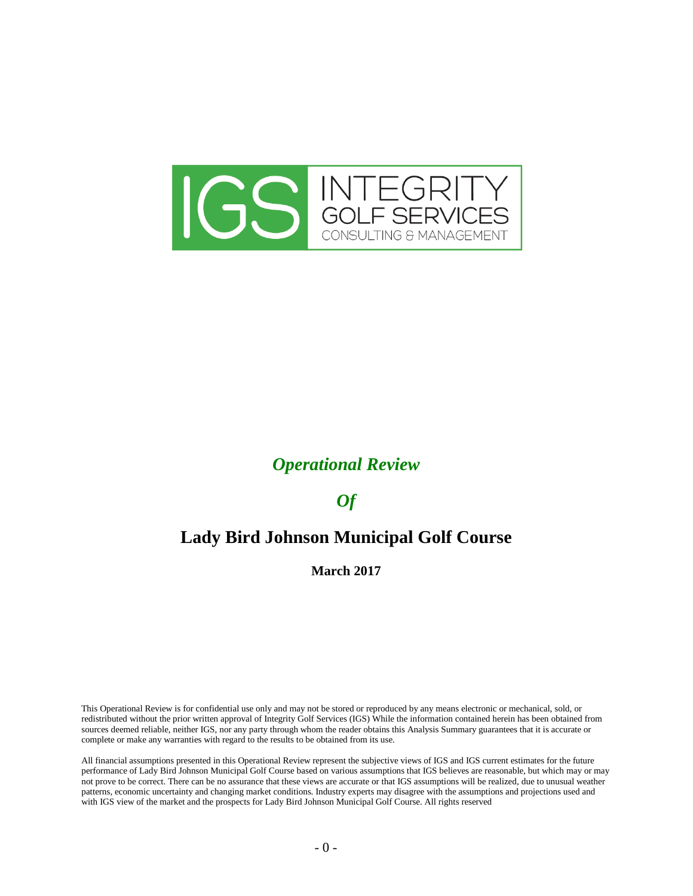

## *Operational Review*

## *Of*

# **Lady Bird Johnson Municipal Golf Course**

#### **March 2017**

This Operational Review is for confidential use only and may not be stored or reproduced by any means electronic or mechanical, sold, or redistributed without the prior written approval of Integrity Golf Services (IGS) While the information contained herein has been obtained from sources deemed reliable, neither IGS, nor any party through whom the reader obtains this Analysis Summary guarantees that it is accurate or complete or make any warranties with regard to the results to be obtained from its use.

All financial assumptions presented in this Operational Review represent the subjective views of IGS and IGS current estimates for the future performance of Lady Bird Johnson Municipal Golf Course based on various assumptions that IGS believes are reasonable, but which may or may not prove to be correct. There can be no assurance that these views are accurate or that IGS assumptions will be realized, due to unusual weather patterns, economic uncertainty and changing market conditions. Industry experts may disagree with the assumptions and projections used and with IGS view of the market and the prospects for Lady Bird Johnson Municipal Golf Course. All rights reserved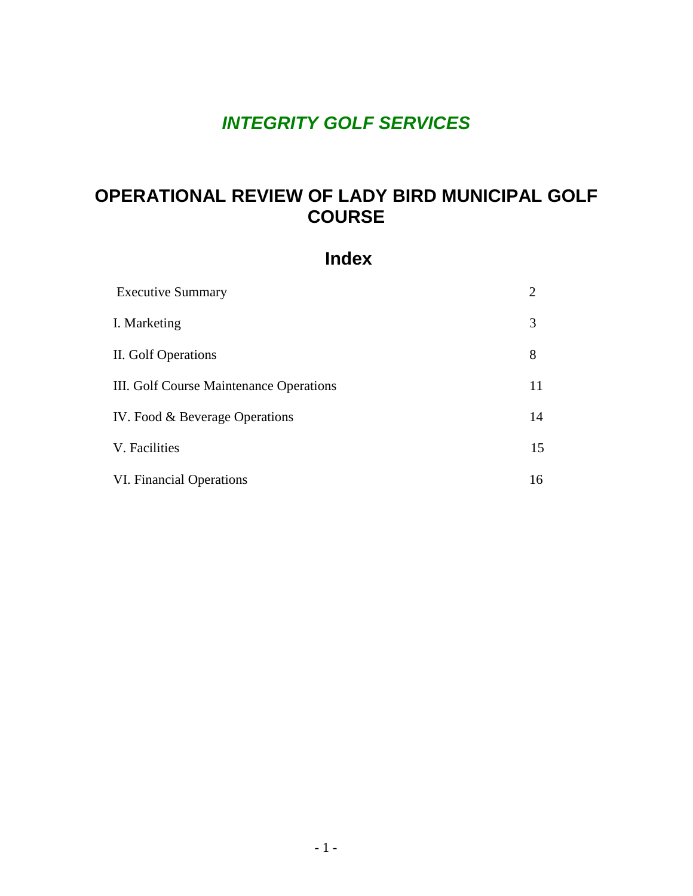# *INTEGRITY GOLF SERVICES*

# **OPERATIONAL REVIEW OF LADY BIRD MUNICIPAL GOLF COURSE**

## **Index**

| <b>Executive Summary</b>                | 2  |
|-----------------------------------------|----|
| I. Marketing                            | 3  |
| II. Golf Operations                     | 8  |
| III. Golf Course Maintenance Operations | 11 |
| IV. Food & Beverage Operations          | 14 |
| V. Facilities                           | 15 |
| VI. Financial Operations                | 16 |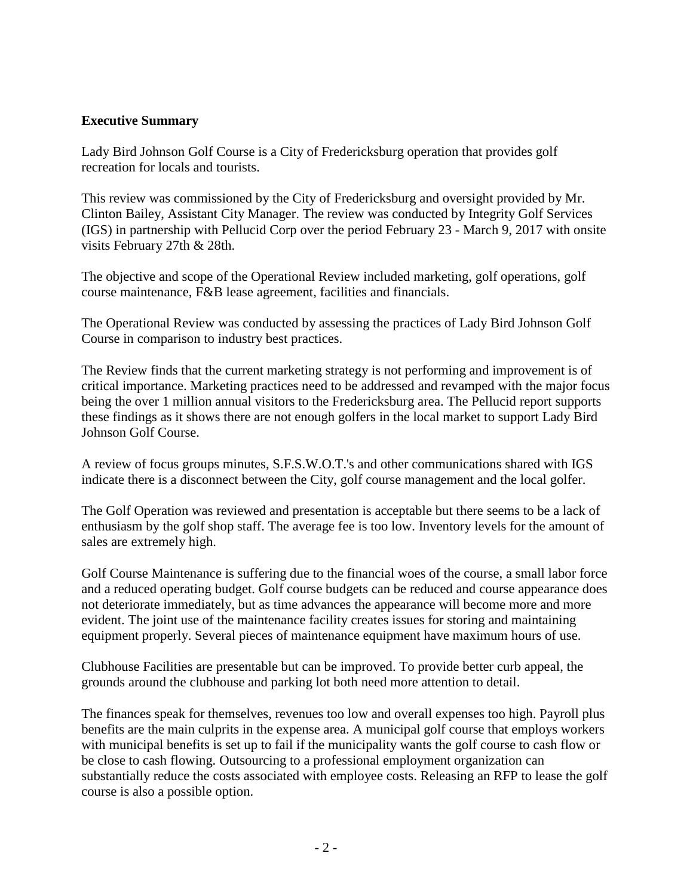## **Executive Summary**

Lady Bird Johnson Golf Course is a City of Fredericksburg operation that provides golf recreation for locals and tourists.

This review was commissioned by the City of Fredericksburg and oversight provided by Mr. Clinton Bailey, Assistant City Manager. The review was conducted by Integrity Golf Services (IGS) in partnership with Pellucid Corp over the period February 23 - March 9, 2017 with onsite visits February 27th & 28th.

The objective and scope of the Operational Review included marketing, golf operations, golf course maintenance, F&B lease agreement, facilities and financials.

The Operational Review was conducted by assessing the practices of Lady Bird Johnson Golf Course in comparison to industry best practices.

The Review finds that the current marketing strategy is not performing and improvement is of critical importance. Marketing practices need to be addressed and revamped with the major focus being the over 1 million annual visitors to the Fredericksburg area. The Pellucid report supports these findings as it shows there are not enough golfers in the local market to support Lady Bird Johnson Golf Course.

A review of focus groups minutes, S.F.S.W.O.T.'s and other communications shared with IGS indicate there is a disconnect between the City, golf course management and the local golfer.

The Golf Operation was reviewed and presentation is acceptable but there seems to be a lack of enthusiasm by the golf shop staff. The average fee is too low. Inventory levels for the amount of sales are extremely high.

Golf Course Maintenance is suffering due to the financial woes of the course, a small labor force and a reduced operating budget. Golf course budgets can be reduced and course appearance does not deteriorate immediately, but as time advances the appearance will become more and more evident. The joint use of the maintenance facility creates issues for storing and maintaining equipment properly. Several pieces of maintenance equipment have maximum hours of use.

Clubhouse Facilities are presentable but can be improved. To provide better curb appeal, the grounds around the clubhouse and parking lot both need more attention to detail.

The finances speak for themselves, revenues too low and overall expenses too high. Payroll plus benefits are the main culprits in the expense area. A municipal golf course that employs workers with municipal benefits is set up to fail if the municipality wants the golf course to cash flow or be close to cash flowing. Outsourcing to a professional employment organization can substantially reduce the costs associated with employee costs. Releasing an RFP to lease the golf course is also a possible option.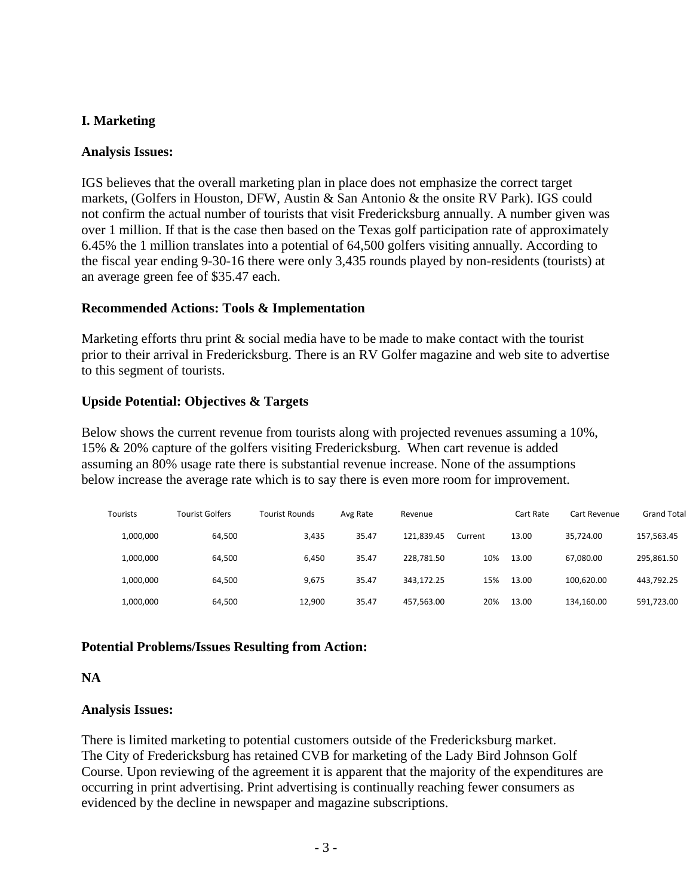## **I. Marketing**

#### **Analysis Issues:**

IGS believes that the overall marketing plan in place does not emphasize the correct target markets, (Golfers in Houston, DFW, Austin & San Antonio & the onsite RV Park). IGS could not confirm the actual number of tourists that visit Fredericksburg annually. A number given was over 1 million. If that is the case then based on the Texas golf participation rate of approximately 6.45% the 1 million translates into a potential of 64,500 golfers visiting annually. According to the fiscal year ending 9-30-16 there were only 3,435 rounds played by non-residents (tourists) at an average green fee of \$35.47 each.

## **Recommended Actions: Tools & Implementation**

Marketing efforts thru print & social media have to be made to make contact with the tourist prior to their arrival in Fredericksburg. There is an RV Golfer magazine and web site to advertise to this segment of tourists.

## **Upside Potential: Objectives & Targets**

Below shows the current revenue from tourists along with projected revenues assuming a 10%, 15% & 20% capture of the golfers visiting Fredericksburg. When cart revenue is added assuming an 80% usage rate there is substantial revenue increase. None of the assumptions below increase the average rate which is to say there is even more room for improvement.

| <b>Tourists</b> | Tourist Golfers | Tourist Rounds | Avg Rate | Revenue    |         | Cart Rate | Cart Revenue | <b>Grand Total</b> |
|-----------------|-----------------|----------------|----------|------------|---------|-----------|--------------|--------------------|
| 1,000,000       | 64.500          | 3,435          | 35.47    | 121.839.45 | Current | 13.00     | 35.724.00    | 157.563.45         |
| 1,000,000       | 64.500          | 6.450          | 35.47    | 228.781.50 | 10%     | 13.00     | 67,080.00    | 295,861.50         |
| 1,000,000       | 64,500          | 9.675          | 35.47    | 343.172.25 | 15%     | 13.00     | 100.620.00   | 443,792.25         |
| 1,000,000       | 64,500          | 12,900         | 35.47    | 457,563.00 | 20%     | 13.00     | 134.160.00   | 591,723.00         |

## **Potential Problems/Issues Resulting from Action:**

#### **NA**

#### **Analysis Issues:**

There is limited marketing to potential customers outside of the Fredericksburg market. The City of Fredericksburg has retained CVB for marketing of the Lady Bird Johnson Golf Course. Upon reviewing of the agreement it is apparent that the majority of the expenditures are occurring in print advertising. Print advertising is continually reaching fewer consumers as evidenced by the decline in newspaper and magazine subscriptions.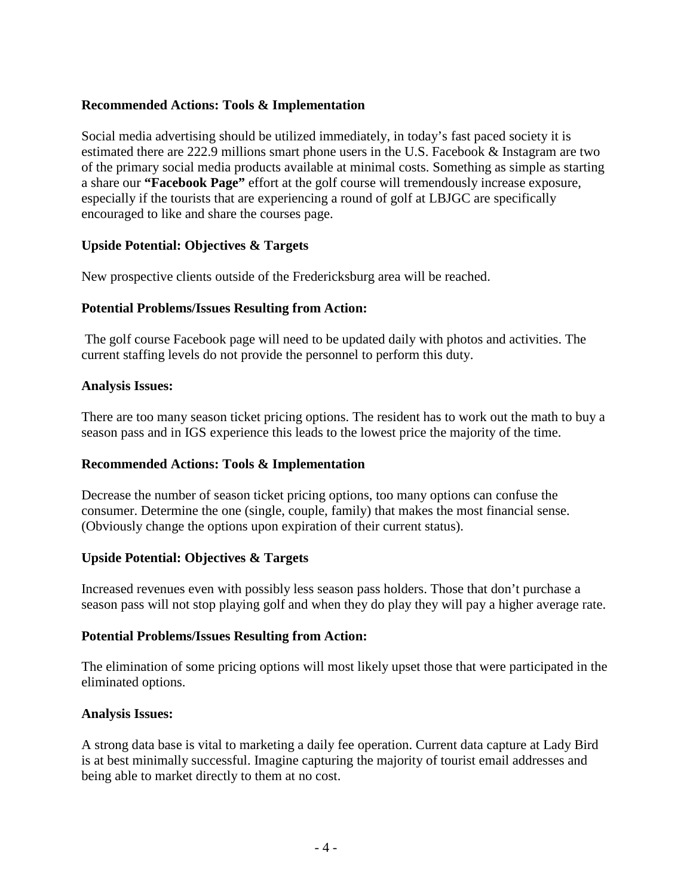## **Recommended Actions: Tools & Implementation**

Social media advertising should be utilized immediately, in today's fast paced society it is estimated there are 222.9 millions smart phone users in the U.S. Facebook & Instagram are two of the primary social media products available at minimal costs. Something as simple as starting a share our **"Facebook Page"** effort at the golf course will tremendously increase exposure, especially if the tourists that are experiencing a round of golf at LBJGC are specifically encouraged to like and share the courses page.

## **Upside Potential: Objectives & Targets**

New prospective clients outside of the Fredericksburg area will be reached.

## **Potential Problems/Issues Resulting from Action:**

The golf course Facebook page will need to be updated daily with photos and activities. The current staffing levels do not provide the personnel to perform this duty.

#### **Analysis Issues:**

There are too many season ticket pricing options. The resident has to work out the math to buy a season pass and in IGS experience this leads to the lowest price the majority of the time.

#### **Recommended Actions: Tools & Implementation**

Decrease the number of season ticket pricing options, too many options can confuse the consumer. Determine the one (single, couple, family) that makes the most financial sense. (Obviously change the options upon expiration of their current status).

## **Upside Potential: Objectives & Targets**

Increased revenues even with possibly less season pass holders. Those that don't purchase a season pass will not stop playing golf and when they do play they will pay a higher average rate.

#### **Potential Problems/Issues Resulting from Action:**

The elimination of some pricing options will most likely upset those that were participated in the eliminated options.

#### **Analysis Issues:**

A strong data base is vital to marketing a daily fee operation. Current data capture at Lady Bird is at best minimally successful. Imagine capturing the majority of tourist email addresses and being able to market directly to them at no cost.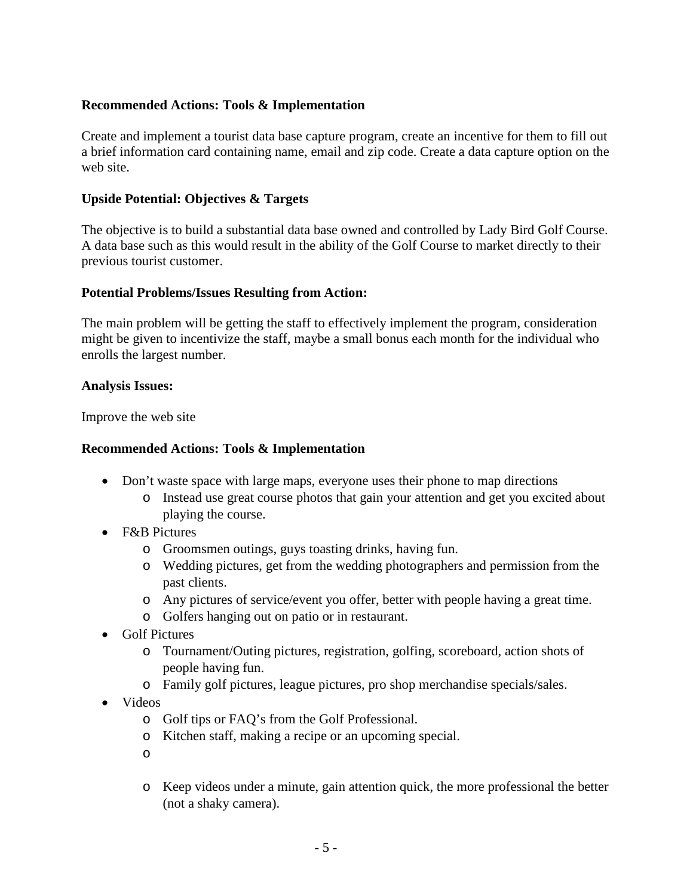## **Recommended Actions: Tools & Implementation**

Create and implement a tourist data base capture program, create an incentive for them to fill out a brief information card containing name, email and zip code. Create a data capture option on the web site.

## **Upside Potential: Objectives & Targets**

The objective is to build a substantial data base owned and controlled by Lady Bird Golf Course. A data base such as this would result in the ability of the Golf Course to market directly to their previous tourist customer.

#### **Potential Problems/Issues Resulting from Action:**

The main problem will be getting the staff to effectively implement the program, consideration might be given to incentivize the staff, maybe a small bonus each month for the individual who enrolls the largest number.

#### **Analysis Issues:**

Improve the web site

#### **Recommended Actions: Tools & Implementation**

- Don't waste space with large maps, everyone uses their phone to map directions
	- o Instead use great course photos that gain your attention and get you excited about playing the course.
- F&B Pictures
	- o Groomsmen outings, guys toasting drinks, having fun.
	- o Wedding pictures, get from the wedding photographers and permission from the past clients.
	- o Any pictures of service/event you offer, better with people having a great time.
	- o Golfers hanging out on patio or in restaurant.
- Golf Pictures
	- o Tournament/Outing pictures, registration, golfing, scoreboard, action shots of people having fun.
	- o Family golf pictures, league pictures, pro shop merchandise specials/sales.
- Videos
	- o Golf tips or FAQ's from the Golf Professional.
	- o Kitchen staff, making a recipe or an upcoming special.
	- o
	- o Keep videos under a minute, gain attention quick, the more professional the better (not a shaky camera).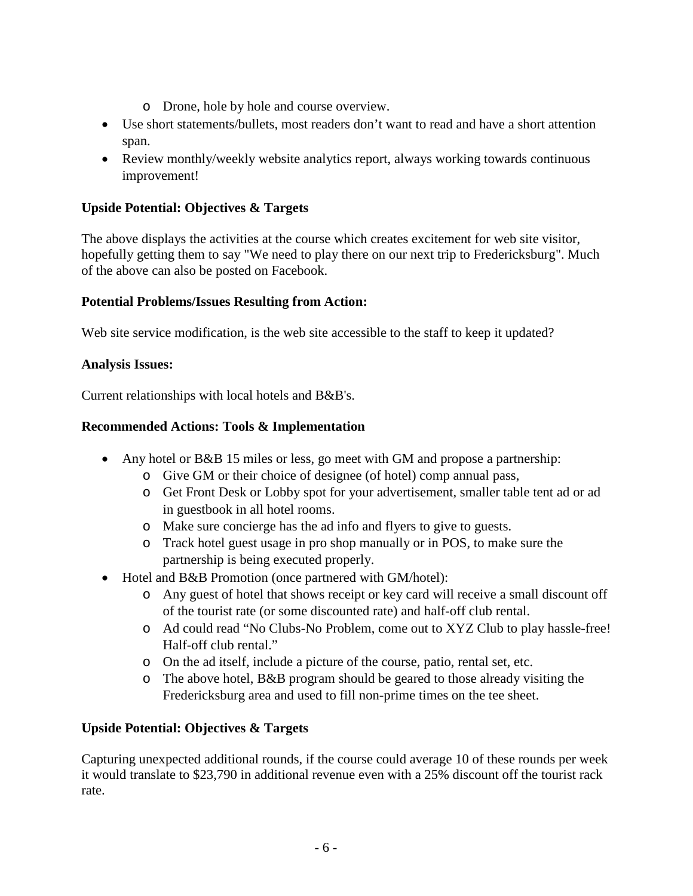- o Drone, hole by hole and course overview.
- Use short statements/bullets, most readers don't want to read and have a short attention span.
- Review monthly/weekly website analytics report, always working towards continuous improvement!

## **Upside Potential: Objectives & Targets**

The above displays the activities at the course which creates excitement for web site visitor, hopefully getting them to say "We need to play there on our next trip to Fredericksburg". Much of the above can also be posted on Facebook.

## **Potential Problems/Issues Resulting from Action:**

Web site service modification, is the web site accessible to the staff to keep it updated?

## **Analysis Issues:**

Current relationships with local hotels and B&B's.

## **Recommended Actions: Tools & Implementation**

- Any hotel or B&B 15 miles or less, go meet with GM and propose a partnership:
	- o Give GM or their choice of designee (of hotel) comp annual pass,
	- o Get Front Desk or Lobby spot for your advertisement, smaller table tent ad or ad in guestbook in all hotel rooms.
	- o Make sure concierge has the ad info and flyers to give to guests.
	- o Track hotel guest usage in pro shop manually or in POS, to make sure the partnership is being executed properly.
- Hotel and B&B Promotion (once partnered with GM/hotel):
	- o Any guest of hotel that shows receipt or key card will receive a small discount off of the tourist rate (or some discounted rate) and half-off club rental.
	- o Ad could read "No Clubs-No Problem, come out to XYZ Club to play hassle-free! Half-off club rental."
	- o On the ad itself, include a picture of the course, patio, rental set, etc.
	- o The above hotel, B&B program should be geared to those already visiting the Fredericksburg area and used to fill non-prime times on the tee sheet.

## **Upside Potential: Objectives & Targets**

Capturing unexpected additional rounds, if the course could average 10 of these rounds per week it would translate to \$23,790 in additional revenue even with a 25% discount off the tourist rack rate.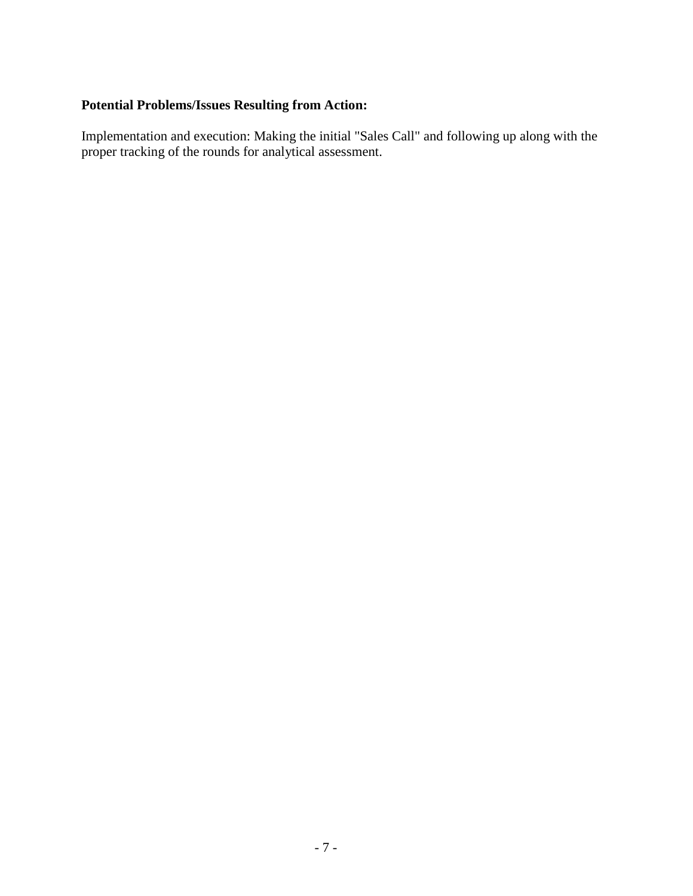## **Potential Problems/Issues Resulting from Action:**

Implementation and execution: Making the initial "Sales Call" and following up along with the proper tracking of the rounds for analytical assessment.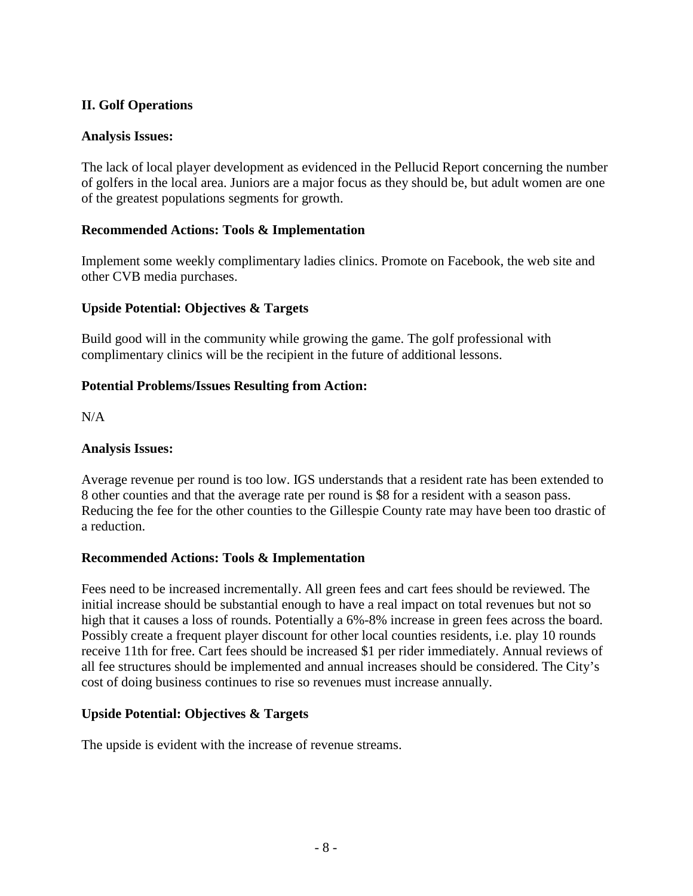## **II. Golf Operations**

## **Analysis Issues:**

The lack of local player development as evidenced in the Pellucid Report concerning the number of golfers in the local area. Juniors are a major focus as they should be, but adult women are one of the greatest populations segments for growth.

## **Recommended Actions: Tools & Implementation**

Implement some weekly complimentary ladies clinics. Promote on Facebook, the web site and other CVB media purchases.

## **Upside Potential: Objectives & Targets**

Build good will in the community while growing the game. The golf professional with complimentary clinics will be the recipient in the future of additional lessons.

## **Potential Problems/Issues Resulting from Action:**

N/A

#### **Analysis Issues:**

Average revenue per round is too low. IGS understands that a resident rate has been extended to 8 other counties and that the average rate per round is \$8 for a resident with a season pass. Reducing the fee for the other counties to the Gillespie County rate may have been too drastic of a reduction.

#### **Recommended Actions: Tools & Implementation**

Fees need to be increased incrementally. All green fees and cart fees should be reviewed. The initial increase should be substantial enough to have a real impact on total revenues but not so high that it causes a loss of rounds. Potentially a 6%-8% increase in green fees across the board. Possibly create a frequent player discount for other local counties residents, i.e. play 10 rounds receive 11th for free. Cart fees should be increased \$1 per rider immediately. Annual reviews of all fee structures should be implemented and annual increases should be considered. The City's cost of doing business continues to rise so revenues must increase annually.

#### **Upside Potential: Objectives & Targets**

The upside is evident with the increase of revenue streams.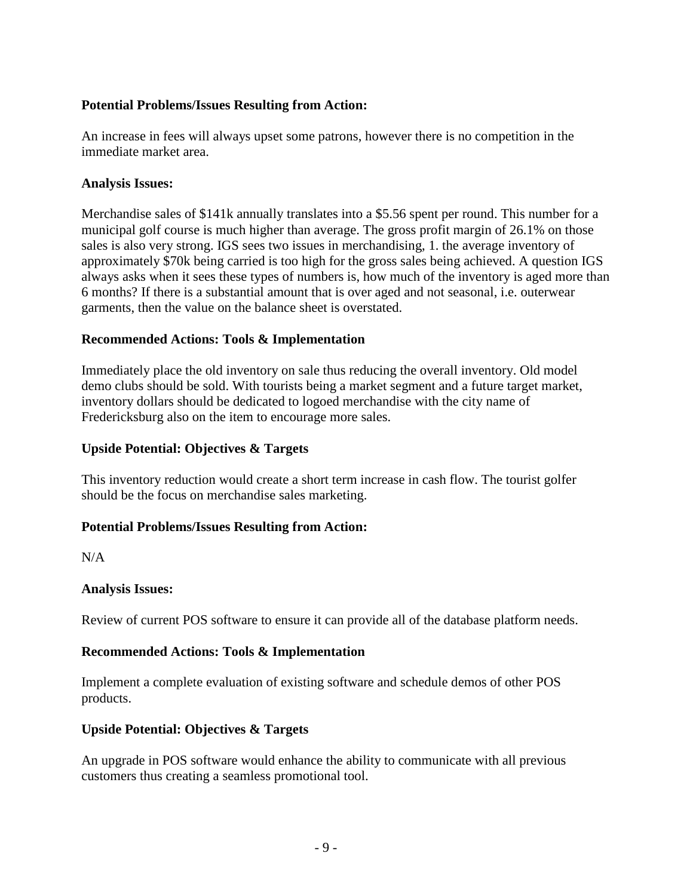## **Potential Problems/Issues Resulting from Action:**

An increase in fees will always upset some patrons, however there is no competition in the immediate market area.

#### **Analysis Issues:**

Merchandise sales of \$141k annually translates into a \$5.56 spent per round. This number for a municipal golf course is much higher than average. The gross profit margin of 26.1% on those sales is also very strong. IGS sees two issues in merchandising, 1. the average inventory of approximately \$70k being carried is too high for the gross sales being achieved. A question IGS always asks when it sees these types of numbers is, how much of the inventory is aged more than 6 months? If there is a substantial amount that is over aged and not seasonal, i.e. outerwear garments, then the value on the balance sheet is overstated.

## **Recommended Actions: Tools & Implementation**

Immediately place the old inventory on sale thus reducing the overall inventory. Old model demo clubs should be sold. With tourists being a market segment and a future target market, inventory dollars should be dedicated to logoed merchandise with the city name of Fredericksburg also on the item to encourage more sales.

## **Upside Potential: Objectives & Targets**

This inventory reduction would create a short term increase in cash flow. The tourist golfer should be the focus on merchandise sales marketing.

#### **Potential Problems/Issues Resulting from Action:**

 $N/A$ 

## **Analysis Issues:**

Review of current POS software to ensure it can provide all of the database platform needs.

## **Recommended Actions: Tools & Implementation**

Implement a complete evaluation of existing software and schedule demos of other POS products.

## **Upside Potential: Objectives & Targets**

An upgrade in POS software would enhance the ability to communicate with all previous customers thus creating a seamless promotional tool.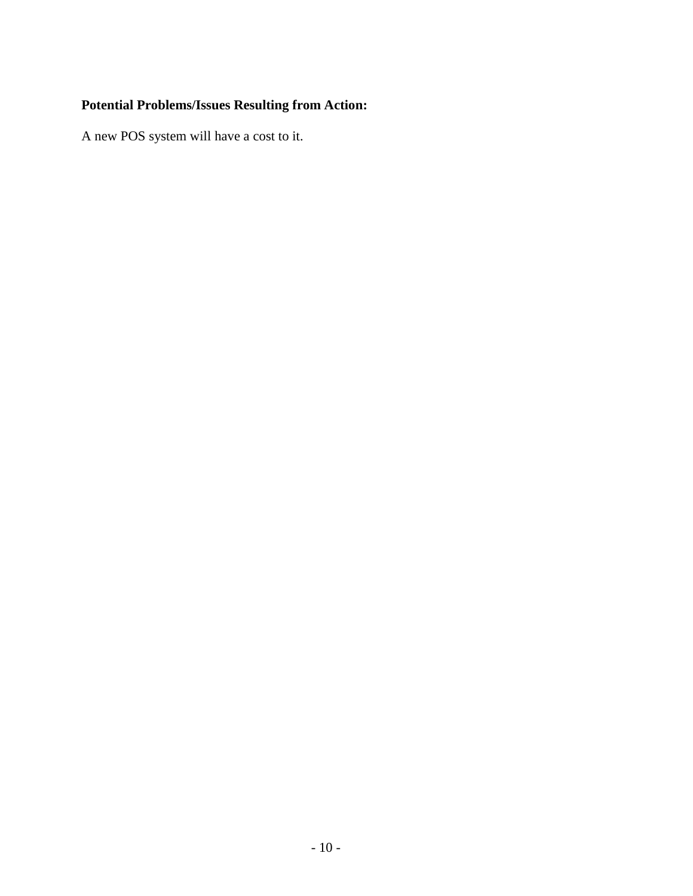## **Potential Problems/Issues Resulting from Action:**

A new POS system will have a cost to it.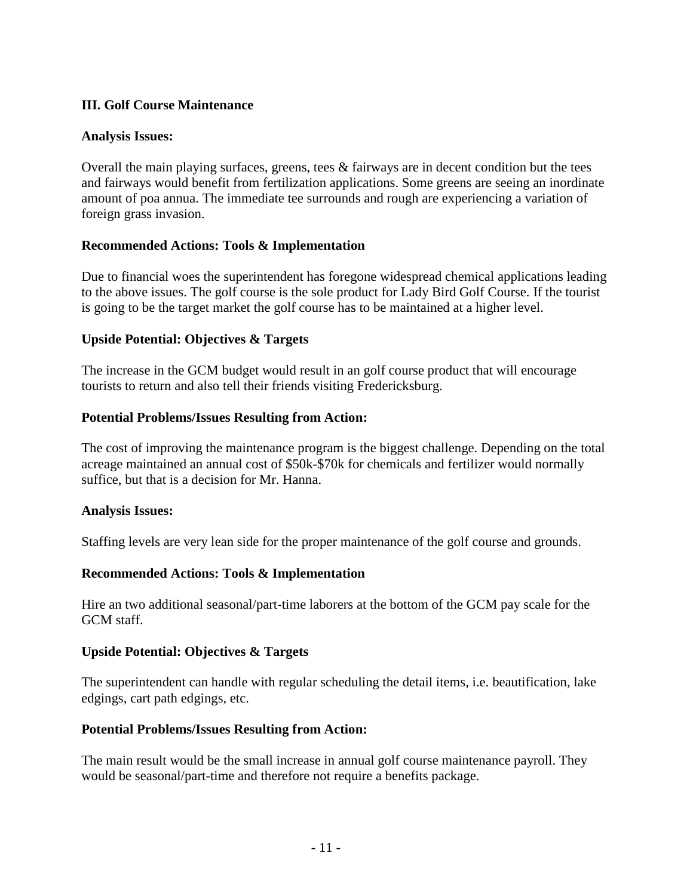## **III. Golf Course Maintenance**

#### **Analysis Issues:**

Overall the main playing surfaces, greens, tees & fairways are in decent condition but the tees and fairways would benefit from fertilization applications. Some greens are seeing an inordinate amount of poa annua. The immediate tee surrounds and rough are experiencing a variation of foreign grass invasion.

## **Recommended Actions: Tools & Implementation**

Due to financial woes the superintendent has foregone widespread chemical applications leading to the above issues. The golf course is the sole product for Lady Bird Golf Course. If the tourist is going to be the target market the golf course has to be maintained at a higher level.

## **Upside Potential: Objectives & Targets**

The increase in the GCM budget would result in an golf course product that will encourage tourists to return and also tell their friends visiting Fredericksburg.

#### **Potential Problems/Issues Resulting from Action:**

The cost of improving the maintenance program is the biggest challenge. Depending on the total acreage maintained an annual cost of \$50k-\$70k for chemicals and fertilizer would normally suffice, but that is a decision for Mr. Hanna.

#### **Analysis Issues:**

Staffing levels are very lean side for the proper maintenance of the golf course and grounds.

#### **Recommended Actions: Tools & Implementation**

Hire an two additional seasonal/part-time laborers at the bottom of the GCM pay scale for the GCM staff.

#### **Upside Potential: Objectives & Targets**

The superintendent can handle with regular scheduling the detail items, i.e. beautification, lake edgings, cart path edgings, etc.

#### **Potential Problems/Issues Resulting from Action:**

The main result would be the small increase in annual golf course maintenance payroll. They would be seasonal/part-time and therefore not require a benefits package.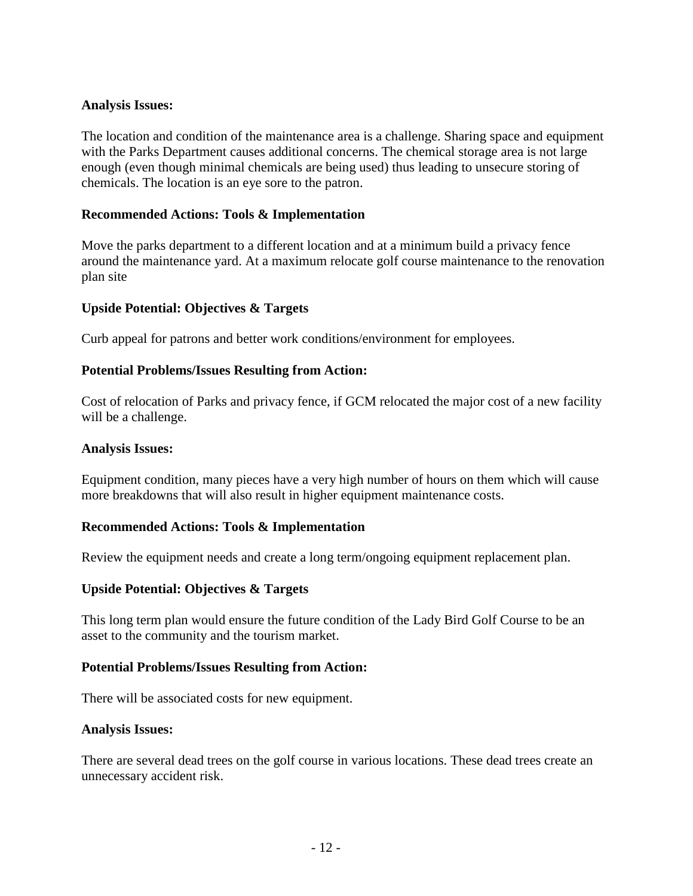#### **Analysis Issues:**

The location and condition of the maintenance area is a challenge. Sharing space and equipment with the Parks Department causes additional concerns. The chemical storage area is not large enough (even though minimal chemicals are being used) thus leading to unsecure storing of chemicals. The location is an eye sore to the patron.

#### **Recommended Actions: Tools & Implementation**

Move the parks department to a different location and at a minimum build a privacy fence around the maintenance yard. At a maximum relocate golf course maintenance to the renovation plan site

#### **Upside Potential: Objectives & Targets**

Curb appeal for patrons and better work conditions/environment for employees.

#### **Potential Problems/Issues Resulting from Action:**

Cost of relocation of Parks and privacy fence, if GCM relocated the major cost of a new facility will be a challenge.

#### **Analysis Issues:**

Equipment condition, many pieces have a very high number of hours on them which will cause more breakdowns that will also result in higher equipment maintenance costs.

#### **Recommended Actions: Tools & Implementation**

Review the equipment needs and create a long term/ongoing equipment replacement plan.

#### **Upside Potential: Objectives & Targets**

This long term plan would ensure the future condition of the Lady Bird Golf Course to be an asset to the community and the tourism market.

#### **Potential Problems/Issues Resulting from Action:**

There will be associated costs for new equipment.

#### **Analysis Issues:**

There are several dead trees on the golf course in various locations. These dead trees create an unnecessary accident risk.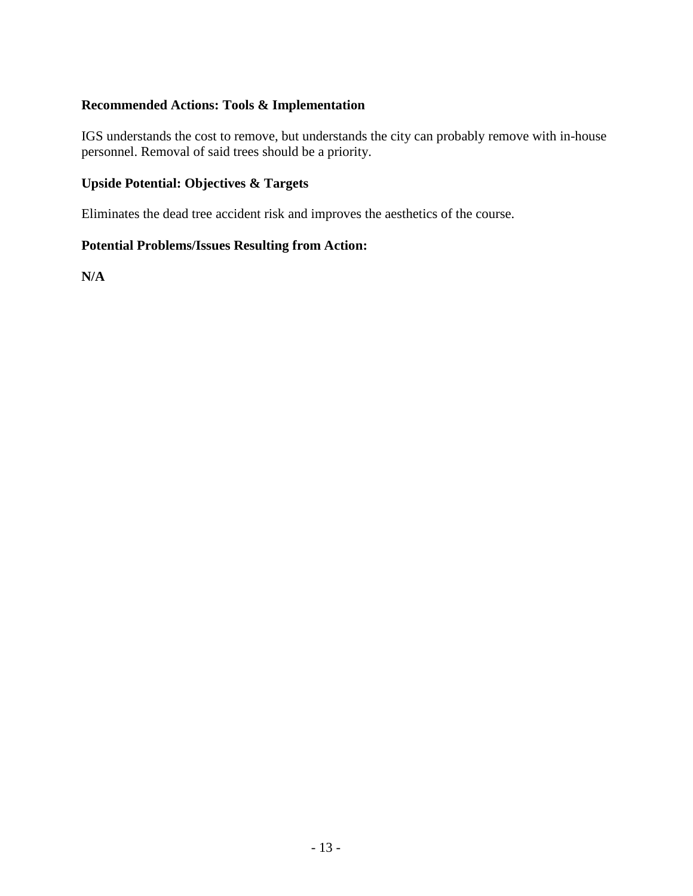## **Recommended Actions: Tools & Implementation**

IGS understands the cost to remove, but understands the city can probably remove with in-house personnel. Removal of said trees should be a priority.

## **Upside Potential: Objectives & Targets**

Eliminates the dead tree accident risk and improves the aesthetics of the course.

## **Potential Problems/Issues Resulting from Action:**

**N/A**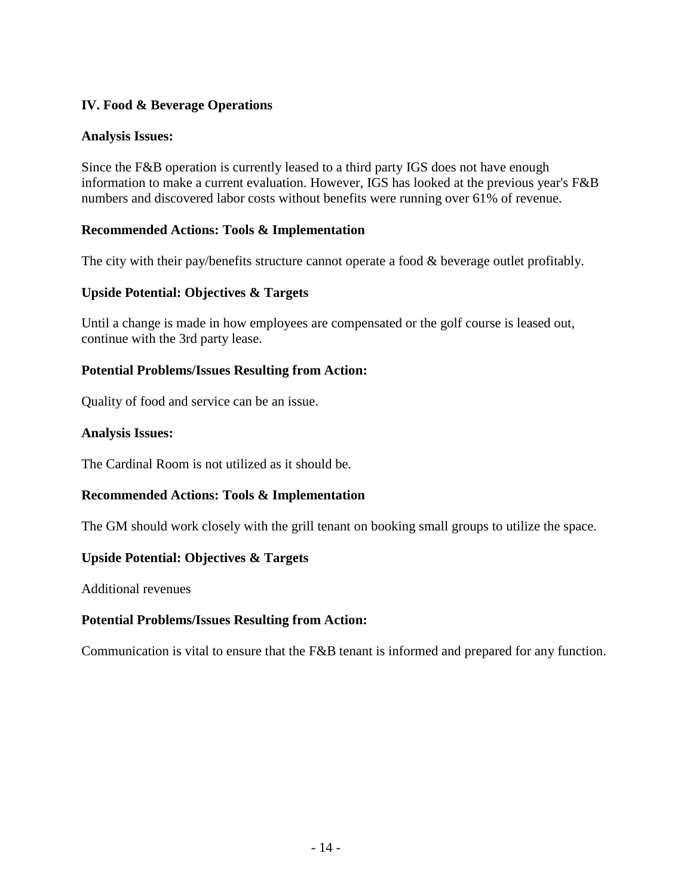## **IV. Food & Beverage Operations**

## **Analysis Issues:**

Since the F&B operation is currently leased to a third party IGS does not have enough information to make a current evaluation. However, IGS has looked at the previous year's F&B numbers and discovered labor costs without benefits were running over 61% of revenue.

## **Recommended Actions: Tools & Implementation**

The city with their pay/benefits structure cannot operate a food & beverage outlet profitably.

## **Upside Potential: Objectives & Targets**

Until a change is made in how employees are compensated or the golf course is leased out, continue with the 3rd party lease.

## **Potential Problems/Issues Resulting from Action:**

Quality of food and service can be an issue.

#### **Analysis Issues:**

The Cardinal Room is not utilized as it should be.

## **Recommended Actions: Tools & Implementation**

The GM should work closely with the grill tenant on booking small groups to utilize the space.

#### **Upside Potential: Objectives & Targets**

Additional revenues

#### **Potential Problems/Issues Resulting from Action:**

Communication is vital to ensure that the F&B tenant is informed and prepared for any function.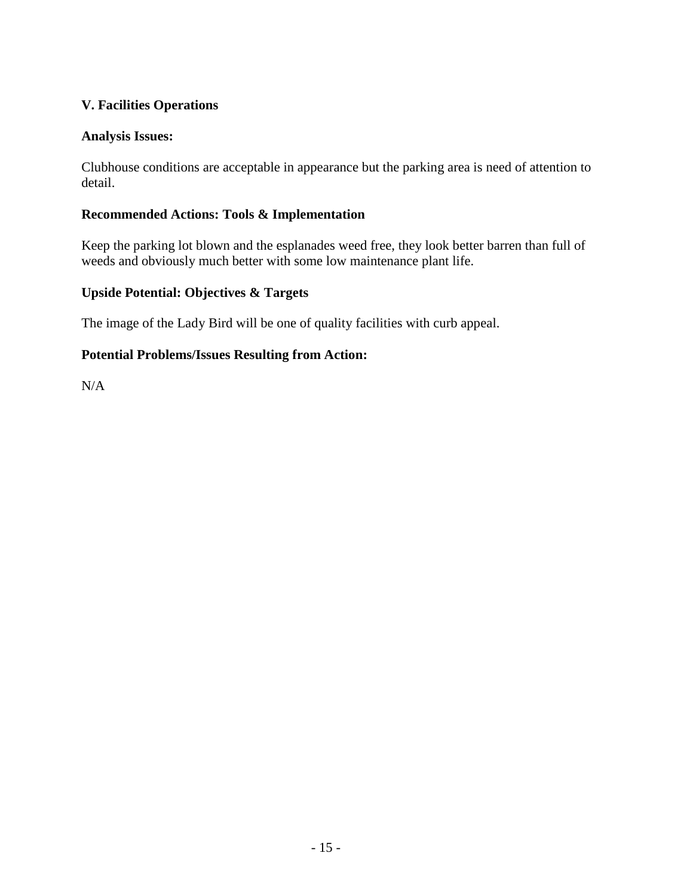## **V. Facilities Operations**

## **Analysis Issues:**

Clubhouse conditions are acceptable in appearance but the parking area is need of attention to detail.

## **Recommended Actions: Tools & Implementation**

Keep the parking lot blown and the esplanades weed free, they look better barren than full of weeds and obviously much better with some low maintenance plant life.

## **Upside Potential: Objectives & Targets**

The image of the Lady Bird will be one of quality facilities with curb appeal.

## **Potential Problems/Issues Resulting from Action:**

N/A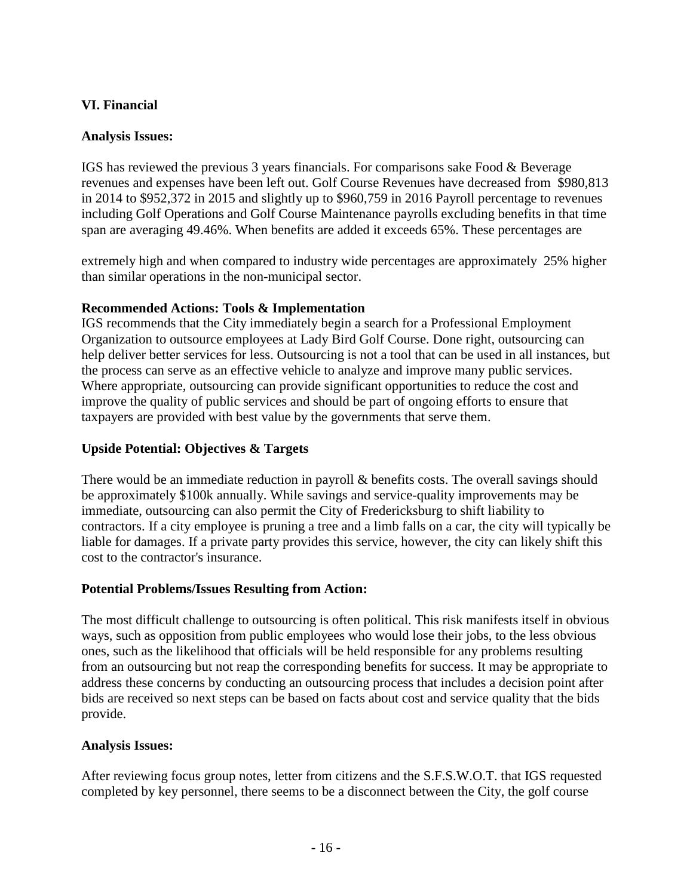## **VI. Financial**

## **Analysis Issues:**

IGS has reviewed the previous 3 years financials. For comparisons sake Food & Beverage revenues and expenses have been left out. Golf Course Revenues have decreased from \$980,813 in 2014 to \$952,372 in 2015 and slightly up to \$960,759 in 2016 Payroll percentage to revenues including Golf Operations and Golf Course Maintenance payrolls excluding benefits in that time span are averaging 49.46%. When benefits are added it exceeds 65%. These percentages are

extremely high and when compared to industry wide percentages are approximately 25% higher than similar operations in the non-municipal sector.

## **Recommended Actions: Tools & Implementation**

IGS recommends that the City immediately begin a search for a Professional Employment Organization to outsource employees at Lady Bird Golf Course. Done right, outsourcing can help deliver better services for less. Outsourcing is not a tool that can be used in all instances, but the process can serve as an effective vehicle to analyze and improve many public services. Where appropriate, outsourcing can provide significant opportunities to reduce the cost and improve the quality of public services and should be part of ongoing efforts to ensure that taxpayers are provided with best value by the governments that serve them.

## **Upside Potential: Objectives & Targets**

There would be an immediate reduction in payroll & benefits costs. The overall savings should be approximately \$100k annually. While savings and service-quality improvements may be immediate, outsourcing can also permit the City of Fredericksburg to shift liability to contractors. If a city employee is pruning a tree and a limb falls on a car, the city will typically be liable for damages. If a private party provides this service, however, the city can likely shift this cost to the contractor's insurance.

#### **Potential Problems/Issues Resulting from Action:**

The most difficult challenge to outsourcing is often political. This risk manifests itself in obvious ways, such as opposition from public employees who would lose their jobs, to the less obvious ones, such as the likelihood that officials will be held responsible for any problems resulting from an outsourcing but not reap the corresponding benefits for success. It may be appropriate to address these concerns by conducting an outsourcing process that includes a decision point after bids are received so next steps can be based on facts about cost and service quality that the bids provide.

#### **Analysis Issues:**

After reviewing focus group notes, letter from citizens and the S.F.S.W.O.T. that IGS requested completed by key personnel, there seems to be a disconnect between the City, the golf course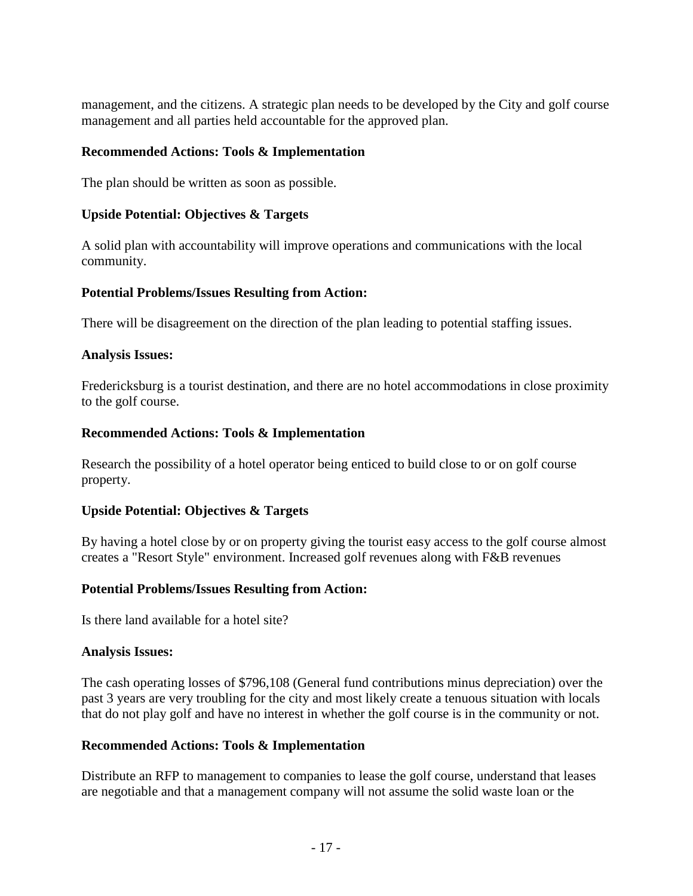management, and the citizens. A strategic plan needs to be developed by the City and golf course management and all parties held accountable for the approved plan.

#### **Recommended Actions: Tools & Implementation**

The plan should be written as soon as possible.

## **Upside Potential: Objectives & Targets**

A solid plan with accountability will improve operations and communications with the local community.

## **Potential Problems/Issues Resulting from Action:**

There will be disagreement on the direction of the plan leading to potential staffing issues.

#### **Analysis Issues:**

Fredericksburg is a tourist destination, and there are no hotel accommodations in close proximity to the golf course.

## **Recommended Actions: Tools & Implementation**

Research the possibility of a hotel operator being enticed to build close to or on golf course property.

#### **Upside Potential: Objectives & Targets**

By having a hotel close by or on property giving the tourist easy access to the golf course almost creates a "Resort Style" environment. Increased golf revenues along with F&B revenues

#### **Potential Problems/Issues Resulting from Action:**

Is there land available for a hotel site?

#### **Analysis Issues:**

The cash operating losses of \$796,108 (General fund contributions minus depreciation) over the past 3 years are very troubling for the city and most likely create a tenuous situation with locals that do not play golf and have no interest in whether the golf course is in the community or not.

#### **Recommended Actions: Tools & Implementation**

Distribute an RFP to management to companies to lease the golf course, understand that leases are negotiable and that a management company will not assume the solid waste loan or the